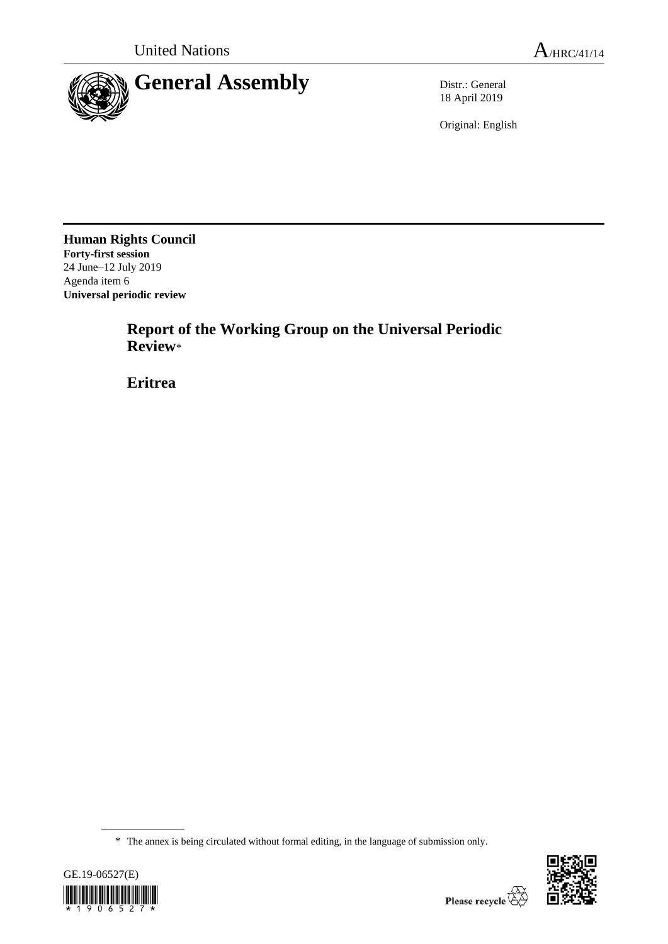

18 April 2019

Original: English

**Human Rights Council Forty-first session** 24 June–12 July 2019 Agenda item 6 **Universal periodic review**

> **Report of the Working Group on the Universal Periodic Review**\*

**Eritrea**

<sup>\*</sup> The annex is being circulated without formal editing, in the language of submission only.



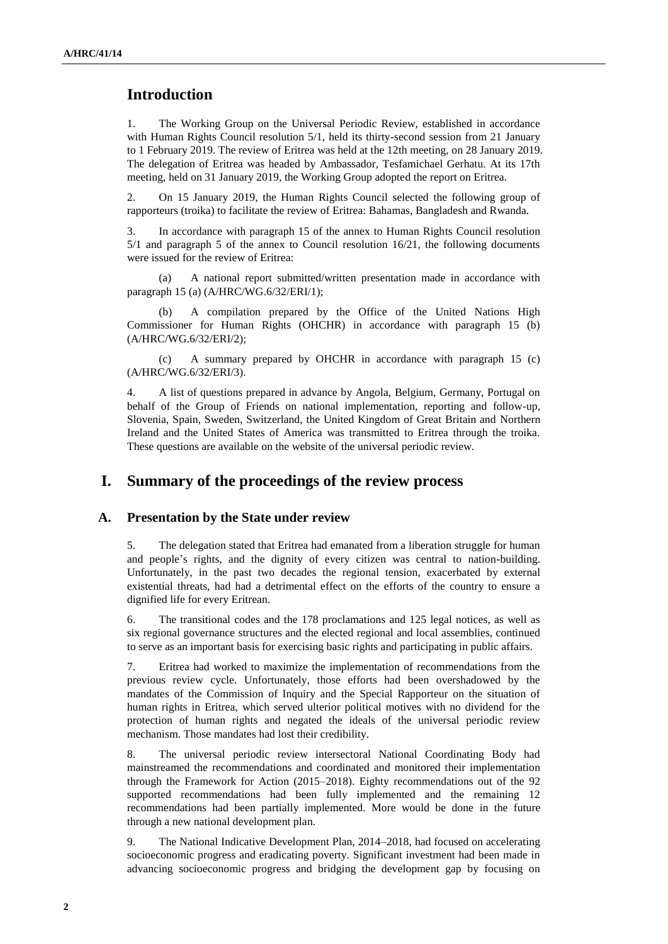## **Introduction**

1. The Working Group on the Universal Periodic Review, established in accordance with Human Rights Council resolution 5/1, held its thirty-second session from 21 January to 1 February 2019. The review of Eritrea was held at the 12th meeting, on 28 January 2019. The delegation of Eritrea was headed by Ambassador, Tesfamichael Gerhatu. At its 17th meeting, held on 31 January 2019, the Working Group adopted the report on Eritrea.

2. On 15 January 2019, the Human Rights Council selected the following group of rapporteurs (troika) to facilitate the review of Eritrea: Bahamas, Bangladesh and Rwanda.

3. In accordance with paragraph 15 of the annex to Human Rights Council resolution 5/1 and paragraph 5 of the annex to Council resolution 16/21, the following documents were issued for the review of Eritrea:

(a) A national report submitted/written presentation made in accordance with paragraph 15 (a) (A/HRC/WG.6/32/ERI/1);

(b) A compilation prepared by the Office of the United Nations High Commissioner for Human Rights (OHCHR) in accordance with paragraph 15 (b) (A/HRC/WG.6/32/ERI/2);

(c) A summary prepared by OHCHR in accordance with paragraph 15 (c) (A/HRC/WG.6/32/ERI/3).

4. A list of questions prepared in advance by Angola, Belgium, Germany, Portugal on behalf of the Group of Friends on national implementation, reporting and follow-up, Slovenia, Spain, Sweden, Switzerland, the United Kingdom of Great Britain and Northern Ireland and the United States of America was transmitted to Eritrea through the troika. These questions are available on the website of the universal periodic review.

## **I. Summary of the proceedings of the review process**

#### **A. Presentation by the State under review**

5. The delegation stated that Eritrea had emanated from a liberation struggle for human and people's rights, and the dignity of every citizen was central to nation-building. Unfortunately, in the past two decades the regional tension, exacerbated by external existential threats, had had a detrimental effect on the efforts of the country to ensure a dignified life for every Eritrean.

6. The transitional codes and the 178 proclamations and 125 legal notices, as well as six regional governance structures and the elected regional and local assemblies, continued to serve as an important basis for exercising basic rights and participating in public affairs.

7. Eritrea had worked to maximize the implementation of recommendations from the previous review cycle. Unfortunately, those efforts had been overshadowed by the mandates of the Commission of Inquiry and the Special Rapporteur on the situation of human rights in Eritrea, which served ulterior political motives with no dividend for the protection of human rights and negated the ideals of the universal periodic review mechanism. Those mandates had lost their credibility.

8. The universal periodic review intersectoral National Coordinating Body had mainstreamed the recommendations and coordinated and monitored their implementation through the Framework for Action (2015–2018). Eighty recommendations out of the 92 supported recommendations had been fully implemented and the remaining 12 recommendations had been partially implemented. More would be done in the future through a new national development plan.

9. The National Indicative Development Plan, 2014–2018, had focused on accelerating socioeconomic progress and eradicating poverty. Significant investment had been made in advancing socioeconomic progress and bridging the development gap by focusing on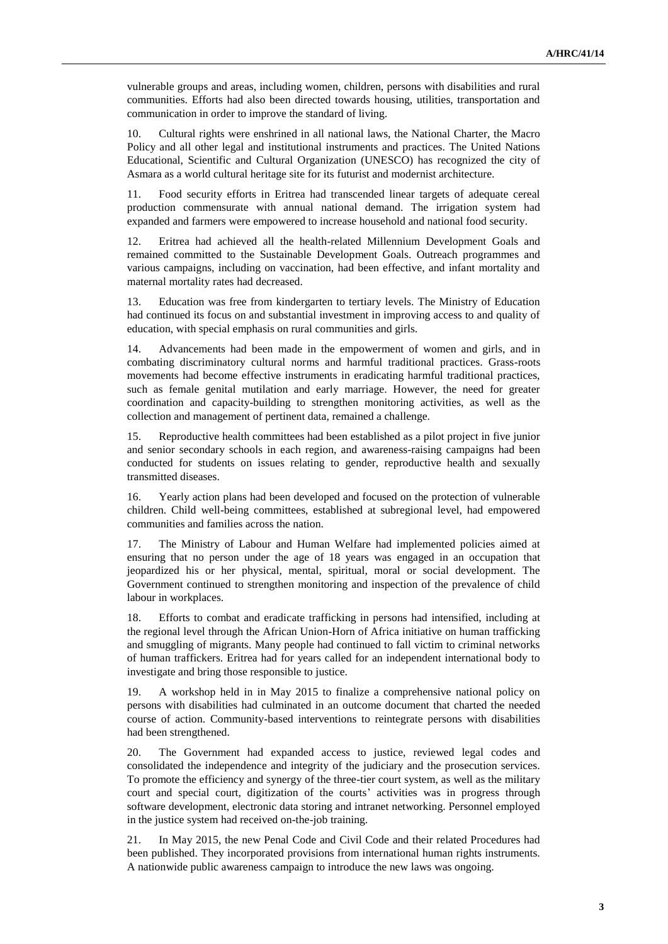vulnerable groups and areas, including women, children, persons with disabilities and rural communities. Efforts had also been directed towards housing, utilities, transportation and communication in order to improve the standard of living.

10. Cultural rights were enshrined in all national laws, the National Charter, the Macro Policy and all other legal and institutional instruments and practices. The United Nations Educational, Scientific and Cultural Organization (UNESCO) has recognized the city of Asmara as a world cultural heritage site for its futurist and modernist architecture.

11. Food security efforts in Eritrea had transcended linear targets of adequate cereal production commensurate with annual national demand. The irrigation system had expanded and farmers were empowered to increase household and national food security.

12. Eritrea had achieved all the health-related Millennium Development Goals and remained committed to the Sustainable Development Goals. Outreach programmes and various campaigns, including on vaccination, had been effective, and infant mortality and maternal mortality rates had decreased.

13. Education was free from kindergarten to tertiary levels. The Ministry of Education had continued its focus on and substantial investment in improving access to and quality of education, with special emphasis on rural communities and girls.

14. Advancements had been made in the empowerment of women and girls, and in combating discriminatory cultural norms and harmful traditional practices. Grass-roots movements had become effective instruments in eradicating harmful traditional practices, such as female genital mutilation and early marriage. However, the need for greater coordination and capacity-building to strengthen monitoring activities, as well as the collection and management of pertinent data, remained a challenge.

15. Reproductive health committees had been established as a pilot project in five junior and senior secondary schools in each region, and awareness-raising campaigns had been conducted for students on issues relating to gender, reproductive health and sexually transmitted diseases.

16. Yearly action plans had been developed and focused on the protection of vulnerable children. Child well-being committees, established at subregional level, had empowered communities and families across the nation.

17. The Ministry of Labour and Human Welfare had implemented policies aimed at ensuring that no person under the age of 18 years was engaged in an occupation that jeopardized his or her physical, mental, spiritual, moral or social development. The Government continued to strengthen monitoring and inspection of the prevalence of child labour in workplaces.

18. Efforts to combat and eradicate trafficking in persons had intensified, including at the regional level through the African Union-Horn of Africa initiative on human trafficking and smuggling of migrants. Many people had continued to fall victim to criminal networks of human traffickers. Eritrea had for years called for an independent international body to investigate and bring those responsible to justice.

19. A workshop held in in May 2015 to finalize a comprehensive national policy on persons with disabilities had culminated in an outcome document that charted the needed course of action. Community-based interventions to reintegrate persons with disabilities had been strengthened.

20. The Government had expanded access to justice, reviewed legal codes and consolidated the independence and integrity of the judiciary and the prosecution services. To promote the efficiency and synergy of the three-tier court system, as well as the military court and special court, digitization of the courts' activities was in progress through software development, electronic data storing and intranet networking. Personnel employed in the justice system had received on-the-job training.

21. In May 2015, the new Penal Code and Civil Code and their related Procedures had been published. They incorporated provisions from international human rights instruments. A nationwide public awareness campaign to introduce the new laws was ongoing.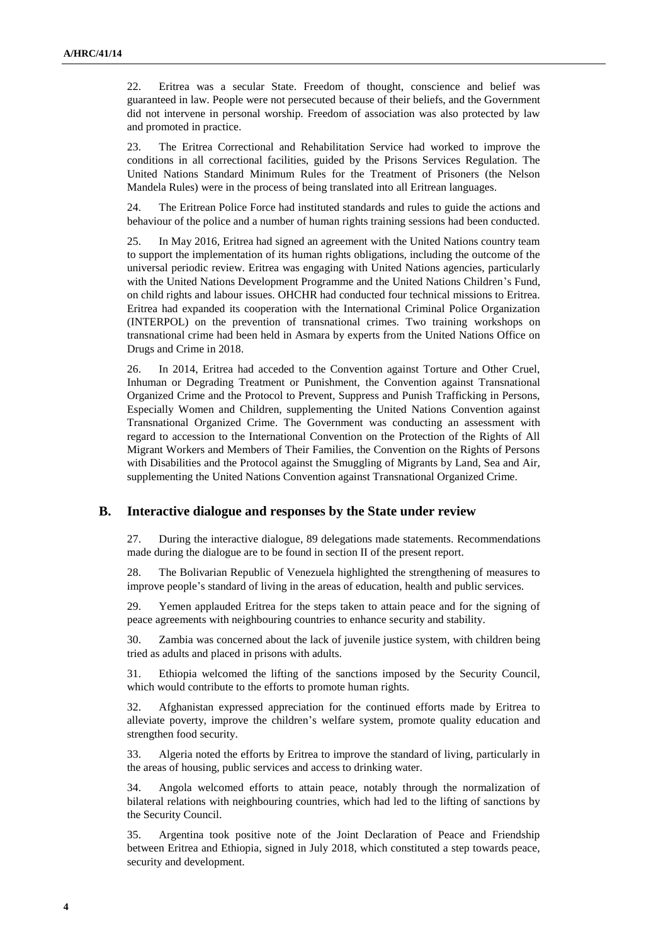22. Eritrea was a secular State. Freedom of thought, conscience and belief was guaranteed in law. People were not persecuted because of their beliefs, and the Government did not intervene in personal worship. Freedom of association was also protected by law and promoted in practice.

23. The Eritrea Correctional and Rehabilitation Service had worked to improve the conditions in all correctional facilities, guided by the Prisons Services Regulation. The United Nations Standard Minimum Rules for the Treatment of Prisoners (the Nelson Mandela Rules) were in the process of being translated into all Eritrean languages.

24. The Eritrean Police Force had instituted standards and rules to guide the actions and behaviour of the police and a number of human rights training sessions had been conducted.

25. In May 2016, Eritrea had signed an agreement with the United Nations country team to support the implementation of its human rights obligations, including the outcome of the universal periodic review. Eritrea was engaging with United Nations agencies, particularly with the United Nations Development Programme and the United Nations Children's Fund, on child rights and labour issues. OHCHR had conducted four technical missions to Eritrea. Eritrea had expanded its cooperation with the International Criminal Police Organization (INTERPOL) on the prevention of transnational crimes. Two training workshops on transnational crime had been held in Asmara by experts from the United Nations Office on Drugs and Crime in 2018.

26. In 2014, Eritrea had acceded to the Convention against Torture and Other Cruel, Inhuman or Degrading Treatment or Punishment, the Convention against Transnational Organized Crime and the Protocol to Prevent, Suppress and Punish Trafficking in Persons, Especially Women and Children, supplementing the United Nations Convention against Transnational Organized Crime. The Government was conducting an assessment with regard to accession to the International Convention on the Protection of the Rights of All Migrant Workers and Members of Their Families, the Convention on the Rights of Persons with Disabilities and the Protocol against the Smuggling of Migrants by Land, Sea and Air, supplementing the United Nations Convention against Transnational Organized Crime.

#### **B. Interactive dialogue and responses by the State under review**

27. During the interactive dialogue, 89 delegations made statements. Recommendations made during the dialogue are to be found in section II of the present report.

28. The Bolivarian Republic of Venezuela highlighted the strengthening of measures to improve people's standard of living in the areas of education, health and public services.

29. Yemen applauded Eritrea for the steps taken to attain peace and for the signing of peace agreements with neighbouring countries to enhance security and stability.

30. Zambia was concerned about the lack of juvenile justice system, with children being tried as adults and placed in prisons with adults.

31. Ethiopia welcomed the lifting of the sanctions imposed by the Security Council, which would contribute to the efforts to promote human rights.

32. Afghanistan expressed appreciation for the continued efforts made by Eritrea to alleviate poverty, improve the children's welfare system, promote quality education and strengthen food security.

33. Algeria noted the efforts by Eritrea to improve the standard of living, particularly in the areas of housing, public services and access to drinking water.

34. Angola welcomed efforts to attain peace, notably through the normalization of bilateral relations with neighbouring countries, which had led to the lifting of sanctions by the Security Council.

35. Argentina took positive note of the Joint Declaration of Peace and Friendship between Eritrea and Ethiopia, signed in July 2018, which constituted a step towards peace, security and development.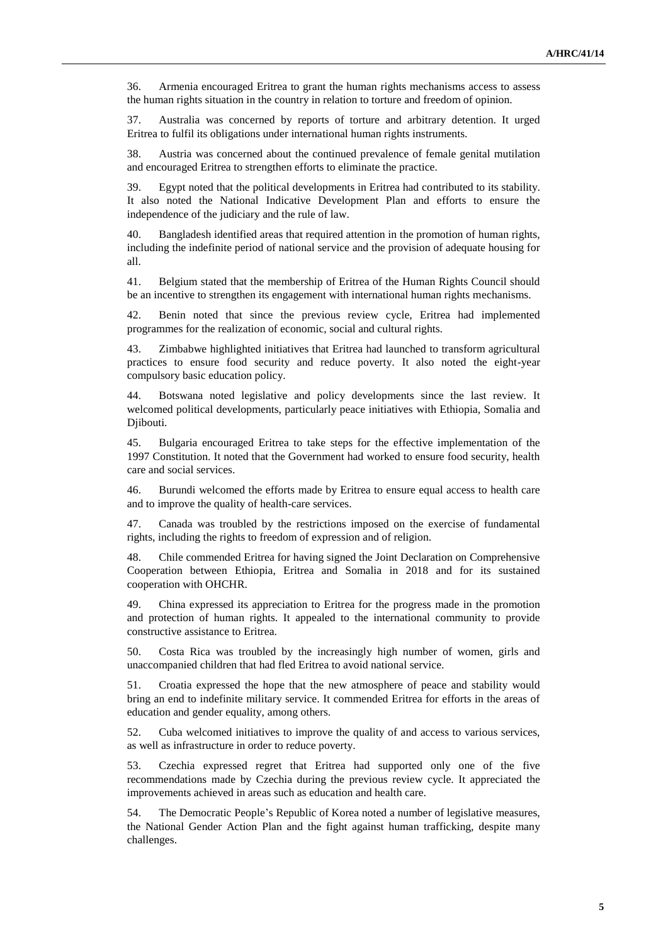36. Armenia encouraged Eritrea to grant the human rights mechanisms access to assess the human rights situation in the country in relation to torture and freedom of opinion.

37. Australia was concerned by reports of torture and arbitrary detention. It urged Eritrea to fulfil its obligations under international human rights instruments.

38. Austria was concerned about the continued prevalence of female genital mutilation and encouraged Eritrea to strengthen efforts to eliminate the practice.

39. Egypt noted that the political developments in Eritrea had contributed to its stability. It also noted the National Indicative Development Plan and efforts to ensure the independence of the judiciary and the rule of law.

40. Bangladesh identified areas that required attention in the promotion of human rights, including the indefinite period of national service and the provision of adequate housing for all.

41. Belgium stated that the membership of Eritrea of the Human Rights Council should be an incentive to strengthen its engagement with international human rights mechanisms.

42. Benin noted that since the previous review cycle, Eritrea had implemented programmes for the realization of economic, social and cultural rights.

43. Zimbabwe highlighted initiatives that Eritrea had launched to transform agricultural practices to ensure food security and reduce poverty. It also noted the eight-year compulsory basic education policy.

44. Botswana noted legislative and policy developments since the last review. It welcomed political developments, particularly peace initiatives with Ethiopia, Somalia and Djibouti.

45. Bulgaria encouraged Eritrea to take steps for the effective implementation of the 1997 Constitution. It noted that the Government had worked to ensure food security, health care and social services.

46. Burundi welcomed the efforts made by Eritrea to ensure equal access to health care and to improve the quality of health-care services.

47. Canada was troubled by the restrictions imposed on the exercise of fundamental rights, including the rights to freedom of expression and of religion.

48. Chile commended Eritrea for having signed the Joint Declaration on Comprehensive Cooperation between Ethiopia, Eritrea and Somalia in 2018 and for its sustained cooperation with OHCHR.

49. China expressed its appreciation to Eritrea for the progress made in the promotion and protection of human rights. It appealed to the international community to provide constructive assistance to Eritrea.

50. Costa Rica was troubled by the increasingly high number of women, girls and unaccompanied children that had fled Eritrea to avoid national service.

51. Croatia expressed the hope that the new atmosphere of peace and stability would bring an end to indefinite military service. It commended Eritrea for efforts in the areas of education and gender equality, among others.

52. Cuba welcomed initiatives to improve the quality of and access to various services, as well as infrastructure in order to reduce poverty.

53. Czechia expressed regret that Eritrea had supported only one of the five recommendations made by Czechia during the previous review cycle. It appreciated the improvements achieved in areas such as education and health care.

54. The Democratic People's Republic of Korea noted a number of legislative measures, the National Gender Action Plan and the fight against human trafficking, despite many challenges.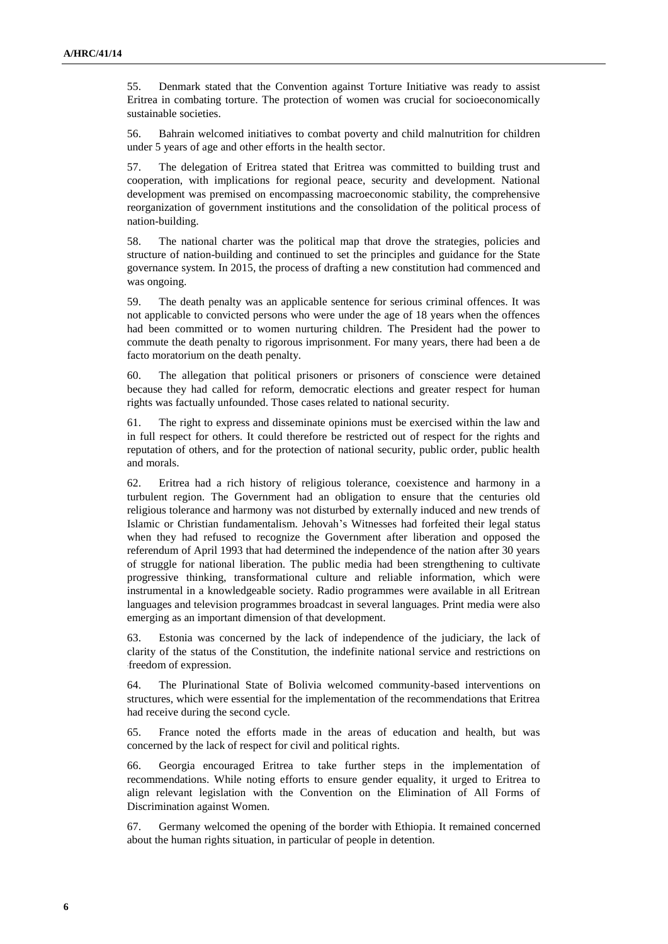55. Denmark stated that the Convention against Torture Initiative was ready to assist Eritrea in combating torture. The protection of women was crucial for socioeconomically sustainable societies.

56. Bahrain welcomed initiatives to combat poverty and child malnutrition for children under 5 years of age and other efforts in the health sector.

57. The delegation of Eritrea stated that Eritrea was committed to building trust and cooperation, with implications for regional peace, security and development. National development was premised on encompassing macroeconomic stability, the comprehensive reorganization of government institutions and the consolidation of the political process of nation-building.

58. The national charter was the political map that drove the strategies, policies and structure of nation-building and continued to set the principles and guidance for the State governance system. In 2015, the process of drafting a new constitution had commenced and was ongoing.

59. The death penalty was an applicable sentence for serious criminal offences. It was not applicable to convicted persons who were under the age of 18 years when the offences had been committed or to women nurturing children. The President had the power to commute the death penalty to rigorous imprisonment. For many years, there had been a de facto moratorium on the death penalty.

60. The allegation that political prisoners or prisoners of conscience were detained because they had called for reform, democratic elections and greater respect for human rights was factually unfounded. Those cases related to national security.

61. The right to express and disseminate opinions must be exercised within the law and in full respect for others. It could therefore be restricted out of respect for the rights and reputation of others, and for the protection of national security, public order, public health and morals.

62. Eritrea had a rich history of religious tolerance, coexistence and harmony in a turbulent region. The Government had an obligation to ensure that the centuries old religious tolerance and harmony was not disturbed by externally induced and new trends of Islamic or Christian fundamentalism. Jehovah's Witnesses had forfeited their legal status when they had refused to recognize the Government after liberation and opposed the referendum of April 1993 that had determined the independence of the nation after 30 years of struggle for national liberation. The public media had been strengthening to cultivate progressive thinking, transformational culture and reliable information, which were instrumental in a knowledgeable society. Radio programmes were available in all Eritrean languages and television programmes broadcast in several languages. Print media were also emerging as an important dimension of that development.

63. Estonia was concerned by the lack of independence of the judiciary, the lack of clarity of the status of the Constitution, the indefinite national service and restrictions on freedom of expression.

64. The Plurinational State of Bolivia welcomed community-based interventions on structures, which were essential for the implementation of the recommendations that Eritrea had receive during the second cycle.

65. France noted the efforts made in the areas of education and health, but was concerned by the lack of respect for civil and political rights.

66. Georgia encouraged Eritrea to take further steps in the implementation of recommendations. While noting efforts to ensure gender equality, it urged to Eritrea to align relevant legislation with the Convention on the Elimination of All Forms of Discrimination against Women.

67. Germany welcomed the opening of the border with Ethiopia. It remained concerned about the human rights situation, in particular of people in detention.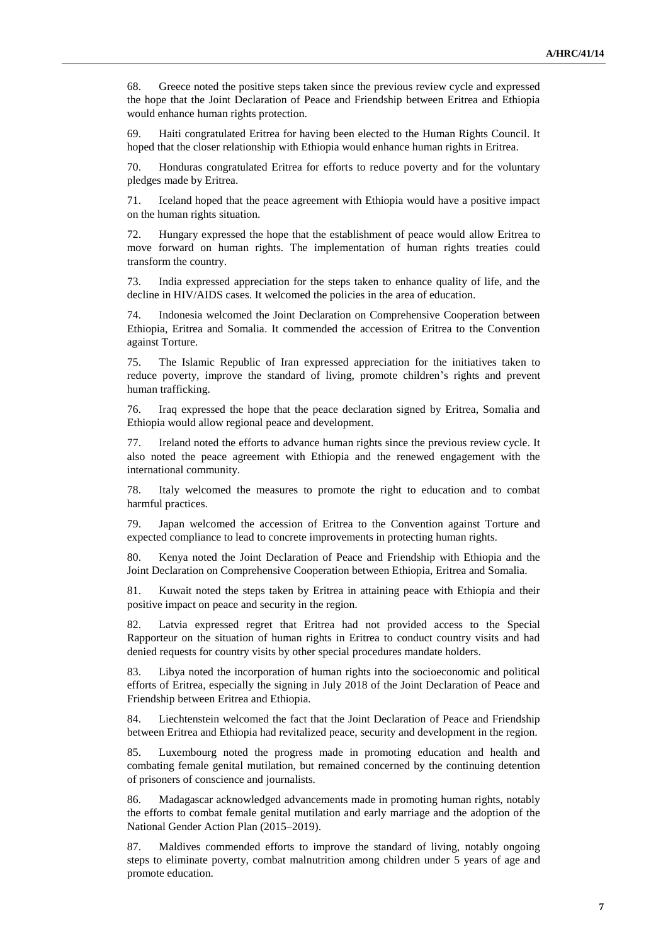68. Greece noted the positive steps taken since the previous review cycle and expressed the hope that the Joint Declaration of Peace and Friendship between Eritrea and Ethiopia would enhance human rights protection.

69. Haiti congratulated Eritrea for having been elected to the Human Rights Council. It hoped that the closer relationship with Ethiopia would enhance human rights in Eritrea.

70. Honduras congratulated Eritrea for efforts to reduce poverty and for the voluntary pledges made by Eritrea.

71. Iceland hoped that the peace agreement with Ethiopia would have a positive impact on the human rights situation.

72. Hungary expressed the hope that the establishment of peace would allow Eritrea to move forward on human rights. The implementation of human rights treaties could transform the country.

73. India expressed appreciation for the steps taken to enhance quality of life, and the decline in HIV/AIDS cases. It welcomed the policies in the area of education.

74. Indonesia welcomed the Joint Declaration on Comprehensive Cooperation between Ethiopia, Eritrea and Somalia. It commended the accession of Eritrea to the Convention against Torture.

75. The Islamic Republic of Iran expressed appreciation for the initiatives taken to reduce poverty, improve the standard of living, promote children's rights and prevent human trafficking.

76. Iraq expressed the hope that the peace declaration signed by Eritrea, Somalia and Ethiopia would allow regional peace and development.

77. Ireland noted the efforts to advance human rights since the previous review cycle. It also noted the peace agreement with Ethiopia and the renewed engagement with the international community.

78. Italy welcomed the measures to promote the right to education and to combat harmful practices.

79. Japan welcomed the accession of Eritrea to the Convention against Torture and expected compliance to lead to concrete improvements in protecting human rights.

80. Kenya noted the Joint Declaration of Peace and Friendship with Ethiopia and the Joint Declaration on Comprehensive Cooperation between Ethiopia, Eritrea and Somalia.

81. Kuwait noted the steps taken by Eritrea in attaining peace with Ethiopia and their positive impact on peace and security in the region.

82. Latvia expressed regret that Eritrea had not provided access to the Special Rapporteur on the situation of human rights in Eritrea to conduct country visits and had denied requests for country visits by other special procedures mandate holders.

83. Libya noted the incorporation of human rights into the socioeconomic and political efforts of Eritrea, especially the signing in July 2018 of the Joint Declaration of Peace and Friendship between Eritrea and Ethiopia.

84. Liechtenstein welcomed the fact that the Joint Declaration of Peace and Friendship between Eritrea and Ethiopia had revitalized peace, security and development in the region.

85. Luxembourg noted the progress made in promoting education and health and combating female genital mutilation, but remained concerned by the continuing detention of prisoners of conscience and journalists.

86. Madagascar acknowledged advancements made in promoting human rights, notably the efforts to combat female genital mutilation and early marriage and the adoption of the National Gender Action Plan (2015–2019).

87. Maldives commended efforts to improve the standard of living, notably ongoing steps to eliminate poverty, combat malnutrition among children under 5 years of age and promote education.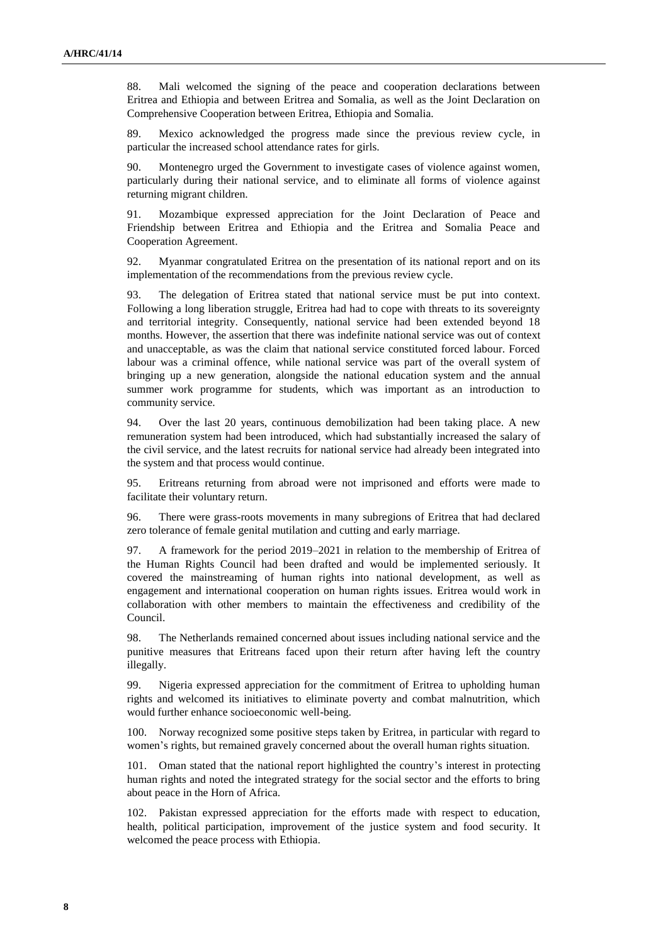88. Mali welcomed the signing of the peace and cooperation declarations between Eritrea and Ethiopia and between Eritrea and Somalia, as well as the Joint Declaration on Comprehensive Cooperation between Eritrea, Ethiopia and Somalia.

89. Mexico acknowledged the progress made since the previous review cycle, in particular the increased school attendance rates for girls.

Montenegro urged the Government to investigate cases of violence against women, particularly during their national service, and to eliminate all forms of violence against returning migrant children.

91. Mozambique expressed appreciation for the Joint Declaration of Peace and Friendship between Eritrea and Ethiopia and the Eritrea and Somalia Peace and Cooperation Agreement.

92. Myanmar congratulated Eritrea on the presentation of its national report and on its implementation of the recommendations from the previous review cycle.

93. The delegation of Eritrea stated that national service must be put into context. Following a long liberation struggle, Eritrea had had to cope with threats to its sovereignty and territorial integrity. Consequently, national service had been extended beyond 18 months. However, the assertion that there was indefinite national service was out of context and unacceptable, as was the claim that national service constituted forced labour. Forced labour was a criminal offence, while national service was part of the overall system of bringing up a new generation, alongside the national education system and the annual summer work programme for students, which was important as an introduction to community service.

94. Over the last 20 years, continuous demobilization had been taking place. A new remuneration system had been introduced, which had substantially increased the salary of the civil service, and the latest recruits for national service had already been integrated into the system and that process would continue.

95. Eritreans returning from abroad were not imprisoned and efforts were made to facilitate their voluntary return.

96. There were grass-roots movements in many subregions of Eritrea that had declared zero tolerance of female genital mutilation and cutting and early marriage.

97. A framework for the period 2019–2021 in relation to the membership of Eritrea of the Human Rights Council had been drafted and would be implemented seriously. It covered the mainstreaming of human rights into national development, as well as engagement and international cooperation on human rights issues. Eritrea would work in collaboration with other members to maintain the effectiveness and credibility of the Council.

98. The Netherlands remained concerned about issues including national service and the punitive measures that Eritreans faced upon their return after having left the country illegally.

99. Nigeria expressed appreciation for the commitment of Eritrea to upholding human rights and welcomed its initiatives to eliminate poverty and combat malnutrition, which would further enhance socioeconomic well-being.

100. Norway recognized some positive steps taken by Eritrea, in particular with regard to women's rights, but remained gravely concerned about the overall human rights situation.

101. Oman stated that the national report highlighted the country's interest in protecting human rights and noted the integrated strategy for the social sector and the efforts to bring about peace in the Horn of Africa.

102. Pakistan expressed appreciation for the efforts made with respect to education, health, political participation, improvement of the justice system and food security. It welcomed the peace process with Ethiopia.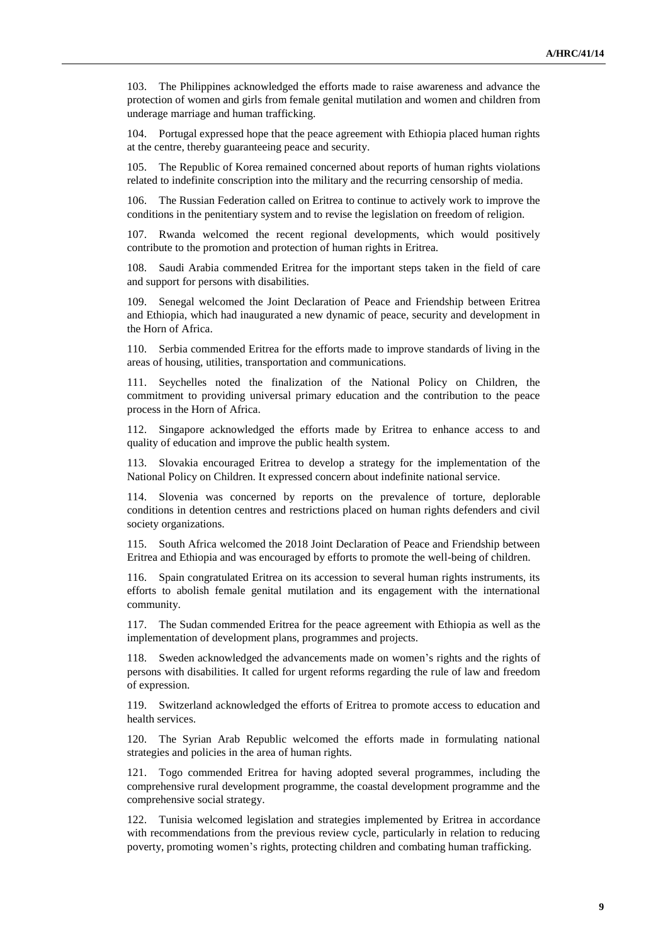103. The Philippines acknowledged the efforts made to raise awareness and advance the protection of women and girls from female genital mutilation and women and children from underage marriage and human trafficking.

104. Portugal expressed hope that the peace agreement with Ethiopia placed human rights at the centre, thereby guaranteeing peace and security.

105. The Republic of Korea remained concerned about reports of human rights violations related to indefinite conscription into the military and the recurring censorship of media.

The Russian Federation called on Eritrea to continue to actively work to improve the conditions in the penitentiary system and to revise the legislation on freedom of religion.

107. Rwanda welcomed the recent regional developments, which would positively contribute to the promotion and protection of human rights in Eritrea.

108. Saudi Arabia commended Eritrea for the important steps taken in the field of care and support for persons with disabilities.

109. Senegal welcomed the Joint Declaration of Peace and Friendship between Eritrea and Ethiopia, which had inaugurated a new dynamic of peace, security and development in the Horn of Africa.

110. Serbia commended Eritrea for the efforts made to improve standards of living in the areas of housing, utilities, transportation and communications.

111. Seychelles noted the finalization of the National Policy on Children, the commitment to providing universal primary education and the contribution to the peace process in the Horn of Africa.

112. Singapore acknowledged the efforts made by Eritrea to enhance access to and quality of education and improve the public health system.

113. Slovakia encouraged Eritrea to develop a strategy for the implementation of the National Policy on Children. It expressed concern about indefinite national service.

114. Slovenia was concerned by reports on the prevalence of torture, deplorable conditions in detention centres and restrictions placed on human rights defenders and civil society organizations.

115. South Africa welcomed the 2018 Joint Declaration of Peace and Friendship between Eritrea and Ethiopia and was encouraged by efforts to promote the well-being of children.

116. Spain congratulated Eritrea on its accession to several human rights instruments, its efforts to abolish female genital mutilation and its engagement with the international community.

117. The Sudan commended Eritrea for the peace agreement with Ethiopia as well as the implementation of development plans, programmes and projects.

118. Sweden acknowledged the advancements made on women's rights and the rights of persons with disabilities. It called for urgent reforms regarding the rule of law and freedom of expression.

119. Switzerland acknowledged the efforts of Eritrea to promote access to education and health services.

120. The Syrian Arab Republic welcomed the efforts made in formulating national strategies and policies in the area of human rights.

121. Togo commended Eritrea for having adopted several programmes, including the comprehensive rural development programme, the coastal development programme and the comprehensive social strategy.

122. Tunisia welcomed legislation and strategies implemented by Eritrea in accordance with recommendations from the previous review cycle, particularly in relation to reducing poverty, promoting women's rights, protecting children and combating human trafficking.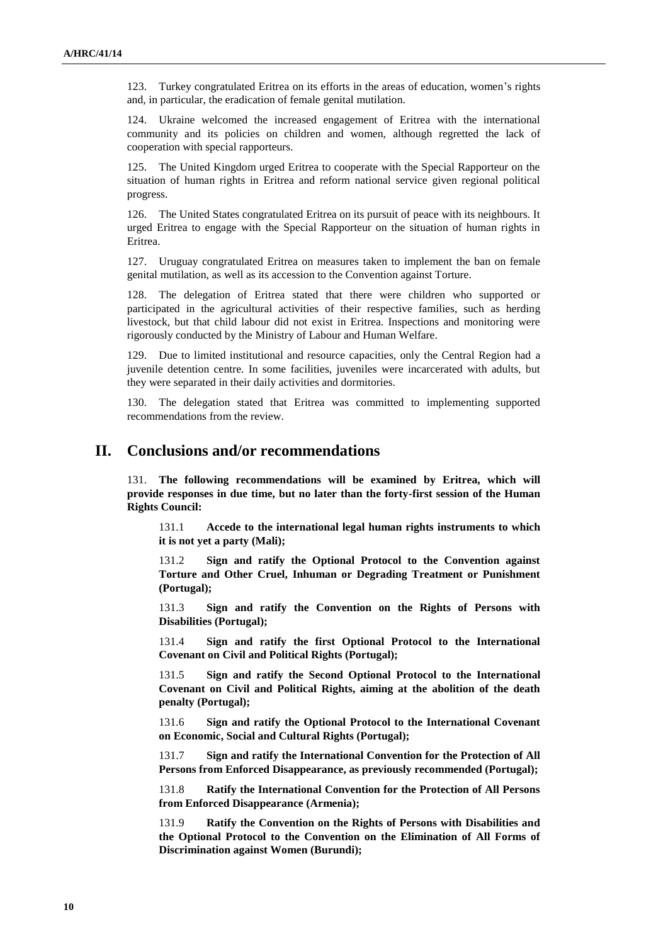123. Turkey congratulated Eritrea on its efforts in the areas of education, women's rights and, in particular, the eradication of female genital mutilation.

124. Ukraine welcomed the increased engagement of Eritrea with the international community and its policies on children and women, although regretted the lack of cooperation with special rapporteurs.

125. The United Kingdom urged Eritrea to cooperate with the Special Rapporteur on the situation of human rights in Eritrea and reform national service given regional political progress.

126. The United States congratulated Eritrea on its pursuit of peace with its neighbours. It urged Eritrea to engage with the Special Rapporteur on the situation of human rights in Eritrea.

127. Uruguay congratulated Eritrea on measures taken to implement the ban on female genital mutilation, as well as its accession to the Convention against Torture.

128. The delegation of Eritrea stated that there were children who supported or participated in the agricultural activities of their respective families, such as herding livestock, but that child labour did not exist in Eritrea. Inspections and monitoring were rigorously conducted by the Ministry of Labour and Human Welfare.

129. Due to limited institutional and resource capacities, only the Central Region had a juvenile detention centre. In some facilities, juveniles were incarcerated with adults, but they were separated in their daily activities and dormitories.

130. The delegation stated that Eritrea was committed to implementing supported recommendations from the review.

### **II. Conclusions and/or recommendations**

131. **The following recommendations will be examined by Eritrea, which will provide responses in due time, but no later than the forty-first session of the Human Rights Council:**

131.1 **Accede to the international legal human rights instruments to which it is not yet a party (Mali);**

131.2 **Sign and ratify the Optional Protocol to the Convention against Torture and Other Cruel, Inhuman or Degrading Treatment or Punishment (Portugal);**

131.3 **Sign and ratify the Convention on the Rights of Persons with Disabilities (Portugal);**

131.4 **Sign and ratify the first Optional Protocol to the International Covenant on Civil and Political Rights (Portugal);**

131.5 **Sign and ratify the Second Optional Protocol to the International Covenant on Civil and Political Rights, aiming at the abolition of the death penalty (Portugal);**

131.6 **Sign and ratify the Optional Protocol to the International Covenant on Economic, Social and Cultural Rights (Portugal);**

131.7 **Sign and ratify the International Convention for the Protection of All Persons from Enforced Disappearance, as previously recommended (Portugal);**

131.8 **Ratify the International Convention for the Protection of All Persons from Enforced Disappearance (Armenia);**

131.9 **Ratify the Convention on the Rights of Persons with Disabilities and the Optional Protocol to the Convention on the Elimination of All Forms of Discrimination against Women (Burundi);**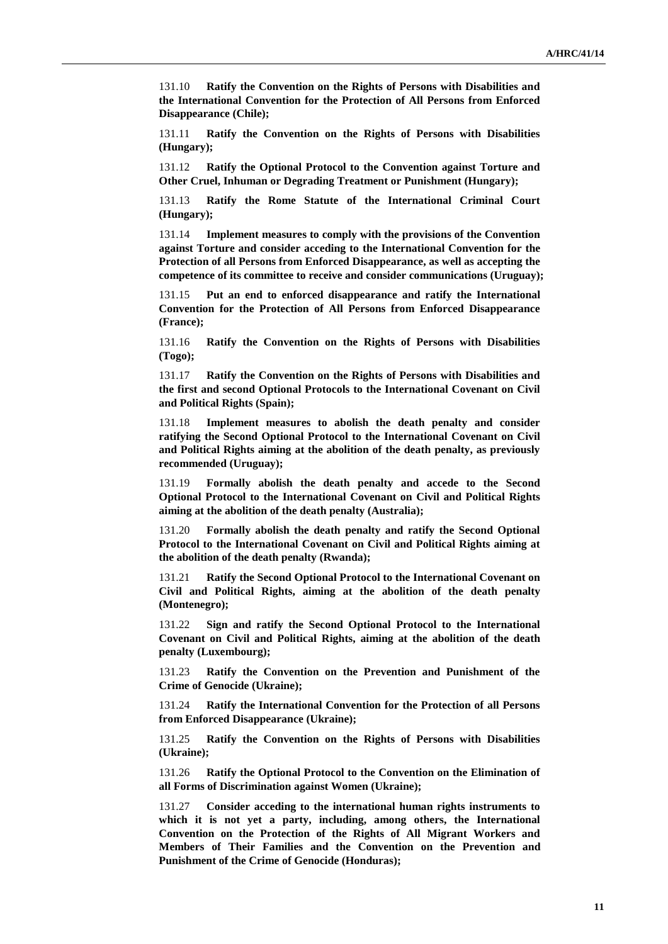131.10 **Ratify the Convention on the Rights of Persons with Disabilities and the International Convention for the Protection of All Persons from Enforced Disappearance (Chile);**

131.11 **Ratify the Convention on the Rights of Persons with Disabilities (Hungary);**

131.12 **Ratify the Optional Protocol to the Convention against Torture and Other Cruel, Inhuman or Degrading Treatment or Punishment (Hungary);**

131.13 **Ratify the Rome Statute of the International Criminal Court (Hungary);**

131.14 **Implement measures to comply with the provisions of the Convention against Torture and consider acceding to the International Convention for the Protection of all Persons from Enforced Disappearance, as well as accepting the competence of its committee to receive and consider communications (Uruguay);**

131.15 **Put an end to enforced disappearance and ratify the International Convention for the Protection of All Persons from Enforced Disappearance (France);**

131.16 **Ratify the Convention on the Rights of Persons with Disabilities (Togo);**

131.17 **Ratify the Convention on the Rights of Persons with Disabilities and the first and second Optional Protocols to the International Covenant on Civil and Political Rights (Spain);**

131.18 **Implement measures to abolish the death penalty and consider ratifying the Second Optional Protocol to the International Covenant on Civil and Political Rights aiming at the abolition of the death penalty, as previously recommended (Uruguay);**

131.19 **Formally abolish the death penalty and accede to the Second Optional Protocol to the International Covenant on Civil and Political Rights aiming at the abolition of the death penalty (Australia);**

131.20 **Formally abolish the death penalty and ratify the Second Optional Protocol to the International Covenant on Civil and Political Rights aiming at the abolition of the death penalty (Rwanda);**

131.21 **Ratify the Second Optional Protocol to the International Covenant on Civil and Political Rights, aiming at the abolition of the death penalty (Montenegro);**

131.22 **Sign and ratify the Second Optional Protocol to the International Covenant on Civil and Political Rights, aiming at the abolition of the death penalty (Luxembourg);**

131.23 **Ratify the Convention on the Prevention and Punishment of the Crime of Genocide (Ukraine);**

131.24 **Ratify the International Convention for the Protection of all Persons from Enforced Disappearance (Ukraine);**

131.25 **Ratify the Convention on the Rights of Persons with Disabilities (Ukraine);**

131.26 **Ratify the Optional Protocol to the Convention on the Elimination of all Forms of Discrimination against Women (Ukraine);**

131.27 **Consider acceding to the international human rights instruments to which it is not yet a party, including, among others, the International Convention on the Protection of the Rights of All Migrant Workers and Members of Their Families and the Convention on the Prevention and Punishment of the Crime of Genocide (Honduras);**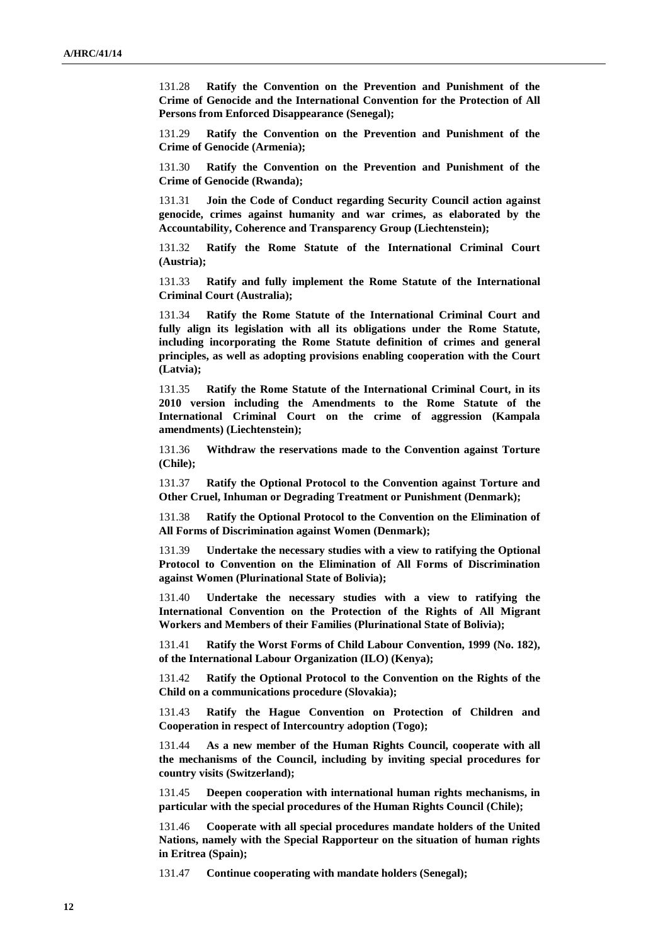131.28 **Ratify the Convention on the Prevention and Punishment of the Crime of Genocide and the International Convention for the Protection of All Persons from Enforced Disappearance (Senegal);**

131.29 **Ratify the Convention on the Prevention and Punishment of the Crime of Genocide (Armenia);**

131.30 **Ratify the Convention on the Prevention and Punishment of the Crime of Genocide (Rwanda);**

131.31 **Join the Code of Conduct regarding Security Council action against genocide, crimes against humanity and war crimes, as elaborated by the Accountability, Coherence and Transparency Group (Liechtenstein);**

131.32 **Ratify the Rome Statute of the International Criminal Court (Austria);**

131.33 **Ratify and fully implement the Rome Statute of the International Criminal Court (Australia);**

131.34 **Ratify the Rome Statute of the International Criminal Court and fully align its legislation with all its obligations under the Rome Statute, including incorporating the Rome Statute definition of crimes and general principles, as well as adopting provisions enabling cooperation with the Court (Latvia);**

131.35 **Ratify the Rome Statute of the International Criminal Court, in its 2010 version including the Amendments to the Rome Statute of the International Criminal Court on the crime of aggression (Kampala amendments) (Liechtenstein);**

131.36 **Withdraw the reservations made to the Convention against Torture (Chile);**

131.37 **Ratify the Optional Protocol to the Convention against Torture and Other Cruel, Inhuman or Degrading Treatment or Punishment (Denmark);**

131.38 **Ratify the Optional Protocol to the Convention on the Elimination of All Forms of Discrimination against Women (Denmark);**

131.39 **Undertake the necessary studies with a view to ratifying the Optional Protocol to Convention on the Elimination of All Forms of Discrimination against Women (Plurinational State of Bolivia);**

131.40 **Undertake the necessary studies with a view to ratifying the International Convention on the Protection of the Rights of All Migrant Workers and Members of their Families (Plurinational State of Bolivia);**

131.41 **Ratify the Worst Forms of Child Labour Convention, 1999 (No. 182), of the International Labour Organization (ILO) (Kenya);**

131.42 **Ratify the Optional Protocol to the Convention on the Rights of the Child on a communications procedure (Slovakia);**

131.43 **Ratify the Hague Convention on Protection of Children and Cooperation in respect of Intercountry adoption (Togo);**

131.44 **As a new member of the Human Rights Council, cooperate with all the mechanisms of the Council, including by inviting special procedures for country visits (Switzerland);**

131.45 **Deepen cooperation with international human rights mechanisms, in particular with the special procedures of the Human Rights Council (Chile);**

131.46 **Cooperate with all special procedures mandate holders of the United Nations, namely with the Special Rapporteur on the situation of human rights in Eritrea (Spain);**

131.47 **Continue cooperating with mandate holders (Senegal);**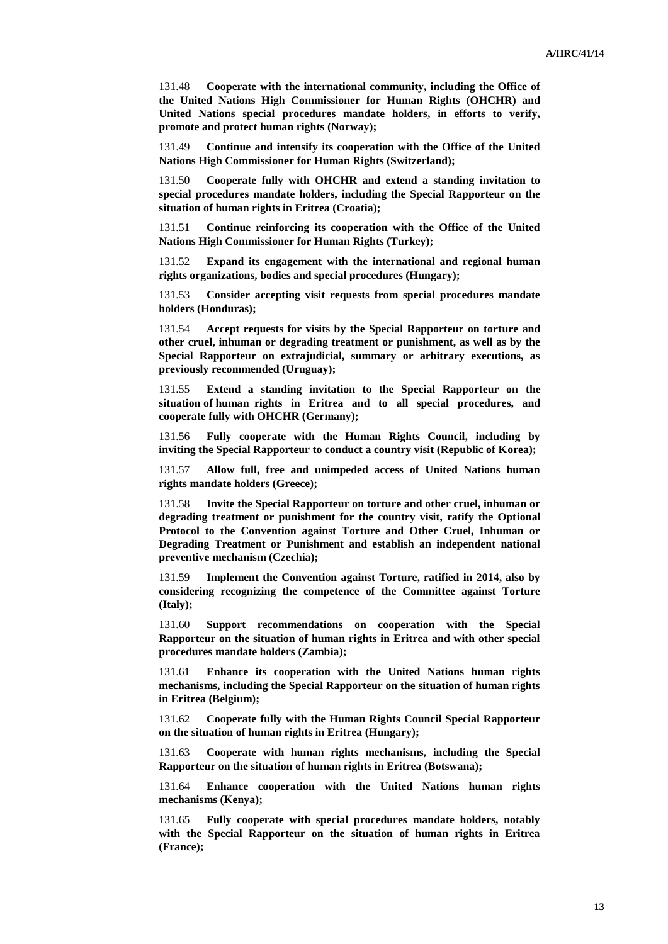131.48 **Cooperate with the international community, including the Office of the United Nations High Commissioner for Human Rights (OHCHR) and United Nations special procedures mandate holders, in efforts to verify, promote and protect human rights (Norway);**

131.49 **Continue and intensify its cooperation with the Office of the United Nations High Commissioner for Human Rights (Switzerland);**

131.50 **Cooperate fully with OHCHR and extend a standing invitation to special procedures mandate holders, including the Special Rapporteur on the situation of human rights in Eritrea (Croatia);**

131.51 **Continue reinforcing its cooperation with the Office of the United Nations High Commissioner for Human Rights (Turkey);**

131.52 **Expand its engagement with the international and regional human rights organizations, bodies and special procedures (Hungary);**

131.53 **Consider accepting visit requests from special procedures mandate holders (Honduras);**

131.54 **Accept requests for visits by the Special Rapporteur on torture and other cruel, inhuman or degrading treatment or punishment, as well as by the Special Rapporteur on extrajudicial, summary or arbitrary executions, as previously recommended (Uruguay);**

131.55 **Extend a standing invitation to the Special Rapporteur on the situation of human rights in Eritrea and to all special procedures, and cooperate fully with OHCHR (Germany);**

131.56 **Fully cooperate with the Human Rights Council, including by inviting the Special Rapporteur to conduct a country visit (Republic of Korea);**

131.57 **Allow full, free and unimpeded access of United Nations human rights mandate holders (Greece);**

131.58 **Invite the Special Rapporteur on torture and other cruel, inhuman or degrading treatment or punishment for the country visit, ratify the Optional Protocol to the Convention against Torture and Other Cruel, Inhuman or Degrading Treatment or Punishment and establish an independent national preventive mechanism (Czechia);**

131.59 **Implement the Convention against Torture, ratified in 2014, also by considering recognizing the competence of the Committee against Torture (Italy);**

131.60 **Support recommendations on cooperation with the Special Rapporteur on the situation of human rights in Eritrea and with other special procedures mandate holders (Zambia);**

131.61 **Enhance its cooperation with the United Nations human rights mechanisms, including the Special Rapporteur on the situation of human rights in Eritrea (Belgium);**

131.62 **Cooperate fully with the Human Rights Council Special Rapporteur on the situation of human rights in Eritrea (Hungary);**

131.63 **Cooperate with human rights mechanisms, including the Special Rapporteur on the situation of human rights in Eritrea (Botswana);**

131.64 **Enhance cooperation with the United Nations human rights mechanisms (Kenya);**

131.65 **Fully cooperate with special procedures mandate holders, notably with the Special Rapporteur on the situation of human rights in Eritrea (France);**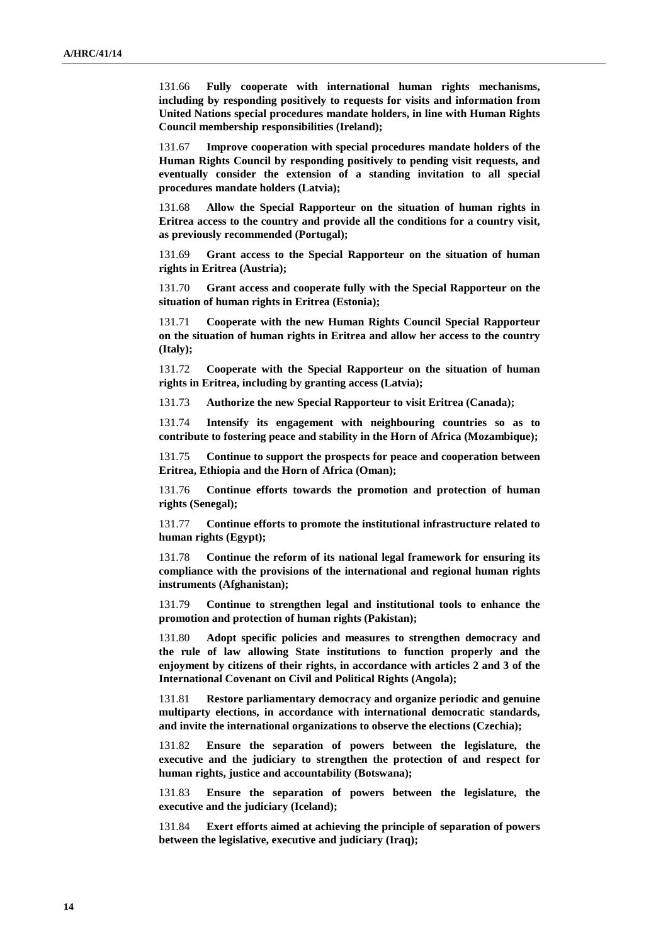131.66 **Fully cooperate with international human rights mechanisms, including by responding positively to requests for visits and information from United Nations special procedures mandate holders, in line with Human Rights Council membership responsibilities (Ireland);**

131.67 **Improve cooperation with special procedures mandate holders of the Human Rights Council by responding positively to pending visit requests, and eventually consider the extension of a standing invitation to all special procedures mandate holders (Latvia);**

131.68 **Allow the Special Rapporteur on the situation of human rights in Eritrea access to the country and provide all the conditions for a country visit, as previously recommended (Portugal);**

131.69 **Grant access to the Special Rapporteur on the situation of human rights in Eritrea (Austria);**

131.70 **Grant access and cooperate fully with the Special Rapporteur on the situation of human rights in Eritrea (Estonia);**

131.71 **Cooperate with the new Human Rights Council Special Rapporteur on the situation of human rights in Eritrea and allow her access to the country (Italy);**

131.72 **Cooperate with the Special Rapporteur on the situation of human rights in Eritrea, including by granting access (Latvia);**

131.73 **Authorize the new Special Rapporteur to visit Eritrea (Canada);**

131.74 **Intensify its engagement with neighbouring countries so as to contribute to fostering peace and stability in the Horn of Africa (Mozambique);**

131.75 **Continue to support the prospects for peace and cooperation between Eritrea, Ethiopia and the Horn of Africa (Oman);**

131.76 **Continue efforts towards the promotion and protection of human rights (Senegal);**

131.77 **Continue efforts to promote the institutional infrastructure related to human rights (Egypt);**

131.78 **Continue the reform of its national legal framework for ensuring its compliance with the provisions of the international and regional human rights instruments (Afghanistan);**

131.79 **Continue to strengthen legal and institutional tools to enhance the promotion and protection of human rights (Pakistan);**

131.80 **Adopt specific policies and measures to strengthen democracy and the rule of law allowing State institutions to function properly and the enjoyment by citizens of their rights, in accordance with articles 2 and 3 of the International Covenant on Civil and Political Rights (Angola);**

131.81 **Restore parliamentary democracy and organize periodic and genuine multiparty elections, in accordance with international democratic standards, and invite the international organizations to observe the elections (Czechia);**

131.82 **Ensure the separation of powers between the legislature, the executive and the judiciary to strengthen the protection of and respect for human rights, justice and accountability (Botswana);**

131.83 **Ensure the separation of powers between the legislature, the executive and the judiciary (Iceland);**

131.84 **Exert efforts aimed at achieving the principle of separation of powers between the legislative, executive and judiciary (Iraq);**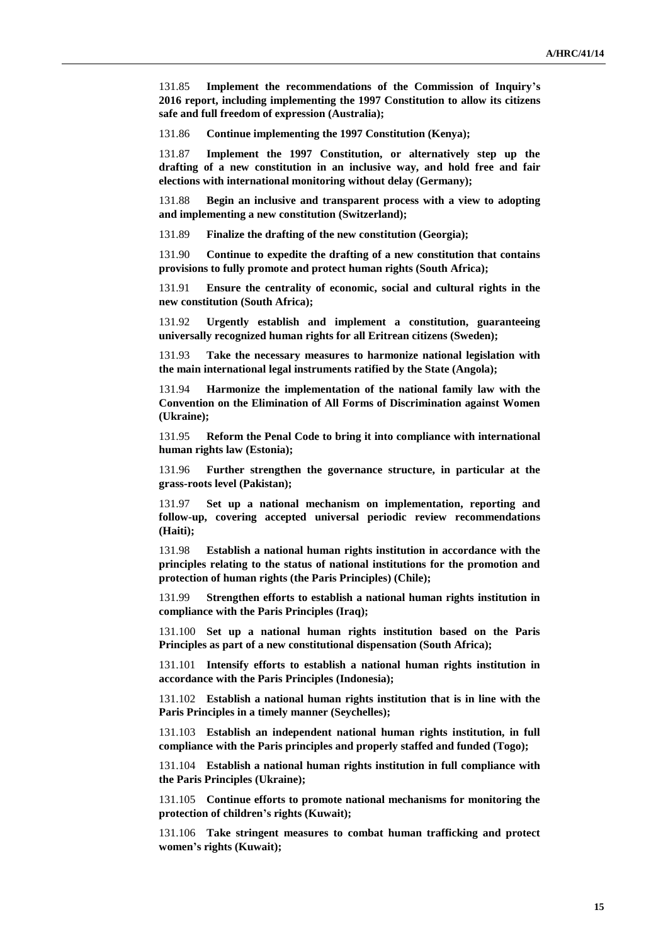131.85 **Implement the recommendations of the Commission of Inquiry's 2016 report, including implementing the 1997 Constitution to allow its citizens safe and full freedom of expression (Australia);**

131.86 **Continue implementing the 1997 Constitution (Kenya);**

131.87 **Implement the 1997 Constitution, or alternatively step up the drafting of a new constitution in an inclusive way, and hold free and fair elections with international monitoring without delay (Germany);**

131.88 **Begin an inclusive and transparent process with a view to adopting and implementing a new constitution (Switzerland);**

131.89 **Finalize the drafting of the new constitution (Georgia);**

131.90 **Continue to expedite the drafting of a new constitution that contains provisions to fully promote and protect human rights (South Africa);**

131.91 **Ensure the centrality of economic, social and cultural rights in the new constitution (South Africa);**

131.92 **Urgently establish and implement a constitution, guaranteeing universally recognized human rights for all Eritrean citizens (Sweden);**

131.93 **Take the necessary measures to harmonize national legislation with the main international legal instruments ratified by the State (Angola);**

131.94 **Harmonize the implementation of the national family law with the Convention on the Elimination of All Forms of Discrimination against Women (Ukraine);**

131.95 **Reform the Penal Code to bring it into compliance with international human rights law (Estonia);**

131.96 **Further strengthen the governance structure, in particular at the grass-roots level (Pakistan);**

131.97 **Set up a national mechanism on implementation, reporting and follow-up, covering accepted universal periodic review recommendations (Haiti);**

131.98 **Establish a national human rights institution in accordance with the principles relating to the status of national institutions for the promotion and protection of human rights (the Paris Principles) (Chile);**

131.99 **Strengthen efforts to establish a national human rights institution in compliance with the Paris Principles (Iraq);**

131.100 **Set up a national human rights institution based on the Paris Principles as part of a new constitutional dispensation (South Africa);**

131.101 **Intensify efforts to establish a national human rights institution in accordance with the Paris Principles (Indonesia);**

131.102 **Establish a national human rights institution that is in line with the Paris Principles in a timely manner (Seychelles);**

131.103 **Establish an independent national human rights institution, in full compliance with the Paris principles and properly staffed and funded (Togo);**

131.104 **Establish a national human rights institution in full compliance with the Paris Principles (Ukraine);**

131.105 **Continue efforts to promote national mechanisms for monitoring the protection of children's rights (Kuwait);**

131.106 **Take stringent measures to combat human trafficking and protect women's rights (Kuwait);**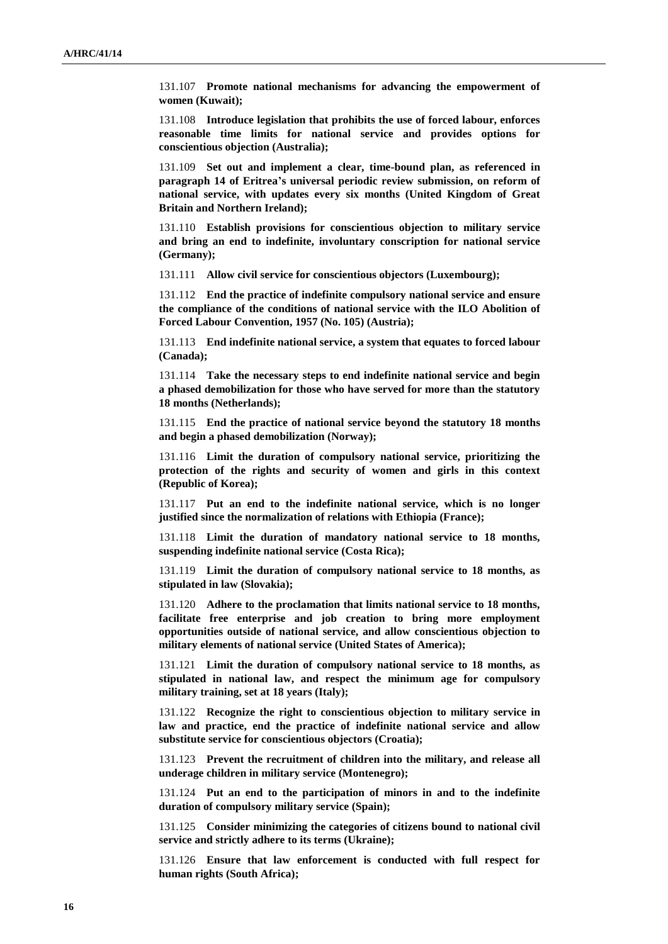131.107 **Promote national mechanisms for advancing the empowerment of women (Kuwait);**

131.108 **Introduce legislation that prohibits the use of forced labour, enforces reasonable time limits for national service and provides options for conscientious objection (Australia);**

131.109 **Set out and implement a clear, time-bound plan, as referenced in paragraph 14 of Eritrea's universal periodic review submission, on reform of national service, with updates every six months (United Kingdom of Great Britain and Northern Ireland);**

131.110 **Establish provisions for conscientious objection to military service and bring an end to indefinite, involuntary conscription for national service (Germany);**

131.111 **Allow civil service for conscientious objectors (Luxembourg);**

131.112 **End the practice of indefinite compulsory national service and ensure the compliance of the conditions of national service with the ILO Abolition of Forced Labour Convention, 1957 (No. 105) (Austria);**

131.113 **End indefinite national service, a system that equates to forced labour (Canada);**

131.114 **Take the necessary steps to end indefinite national service and begin a phased demobilization for those who have served for more than the statutory 18 months (Netherlands);**

131.115 **End the practice of national service beyond the statutory 18 months and begin a phased demobilization (Norway);**

131.116 **Limit the duration of compulsory national service, prioritizing the protection of the rights and security of women and girls in this context (Republic of Korea);**

131.117 **Put an end to the indefinite national service, which is no longer justified since the normalization of relations with Ethiopia (France);**

131.118 **Limit the duration of mandatory national service to 18 months, suspending indefinite national service (Costa Rica);**

131.119 **Limit the duration of compulsory national service to 18 months, as stipulated in law (Slovakia);**

131.120 **Adhere to the proclamation that limits national service to 18 months, facilitate free enterprise and job creation to bring more employment opportunities outside of national service, and allow conscientious objection to military elements of national service (United States of America);**

131.121 **Limit the duration of compulsory national service to 18 months, as stipulated in national law, and respect the minimum age for compulsory military training, set at 18 years (Italy);**

131.122 **Recognize the right to conscientious objection to military service in law and practice, end the practice of indefinite national service and allow substitute service for conscientious objectors (Croatia);**

131.123 **Prevent the recruitment of children into the military, and release all underage children in military service (Montenegro);**

131.124 **Put an end to the participation of minors in and to the indefinite duration of compulsory military service (Spain);**

131.125 **Consider minimizing the categories of citizens bound to national civil service and strictly adhere to its terms (Ukraine);**

131.126 **Ensure that law enforcement is conducted with full respect for human rights (South Africa);**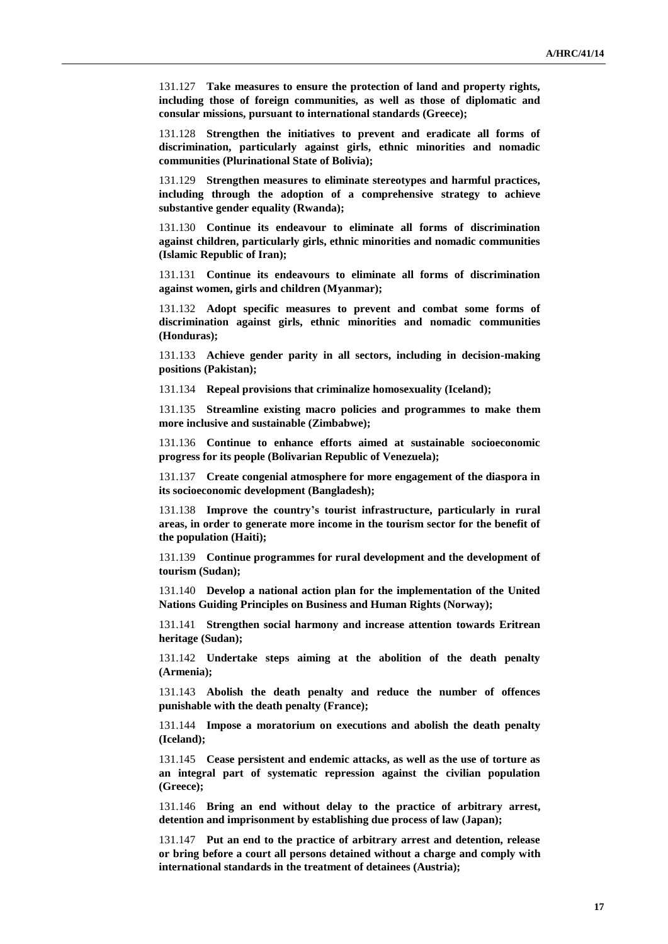131.127 **Take measures to ensure the protection of land and property rights, including those of foreign communities, as well as those of diplomatic and consular missions, pursuant to international standards (Greece);**

131.128 **Strengthen the initiatives to prevent and eradicate all forms of discrimination, particularly against girls, ethnic minorities and nomadic communities (Plurinational State of Bolivia);**

131.129 **Strengthen measures to eliminate stereotypes and harmful practices, including through the adoption of a comprehensive strategy to achieve substantive gender equality (Rwanda);**

131.130 **Continue its endeavour to eliminate all forms of discrimination against children, particularly girls, ethnic minorities and nomadic communities (Islamic Republic of Iran);**

131.131 **Continue its endeavours to eliminate all forms of discrimination against women, girls and children (Myanmar);**

131.132 **Adopt specific measures to prevent and combat some forms of discrimination against girls, ethnic minorities and nomadic communities (Honduras);**

131.133 **Achieve gender parity in all sectors, including in decision-making positions (Pakistan);**

131.134 **Repeal provisions that criminalize homosexuality (Iceland);**

131.135 **Streamline existing macro policies and programmes to make them more inclusive and sustainable (Zimbabwe);**

131.136 **Continue to enhance efforts aimed at sustainable socioeconomic progress for its people (Bolivarian Republic of Venezuela);**

131.137 **Create congenial atmosphere for more engagement of the diaspora in its socioeconomic development (Bangladesh);**

131.138 **Improve the country's tourist infrastructure, particularly in rural areas, in order to generate more income in the tourism sector for the benefit of the population (Haiti);**

131.139 **Continue programmes for rural development and the development of tourism (Sudan);**

131.140 **Develop a national action plan for the implementation of the United Nations Guiding Principles on Business and Human Rights (Norway);**

131.141 **Strengthen social harmony and increase attention towards Eritrean heritage (Sudan);**

131.142 **Undertake steps aiming at the abolition of the death penalty (Armenia);**

131.143 **Abolish the death penalty and reduce the number of offences punishable with the death penalty (France);**

131.144 **Impose a moratorium on executions and abolish the death penalty (Iceland);**

131.145 **Cease persistent and endemic attacks, as well as the use of torture as an integral part of systematic repression against the civilian population (Greece);**

131.146 **Bring an end without delay to the practice of arbitrary arrest, detention and imprisonment by establishing due process of law (Japan);**

131.147 **Put an end to the practice of arbitrary arrest and detention, release or bring before a court all persons detained without a charge and comply with international standards in the treatment of detainees (Austria);**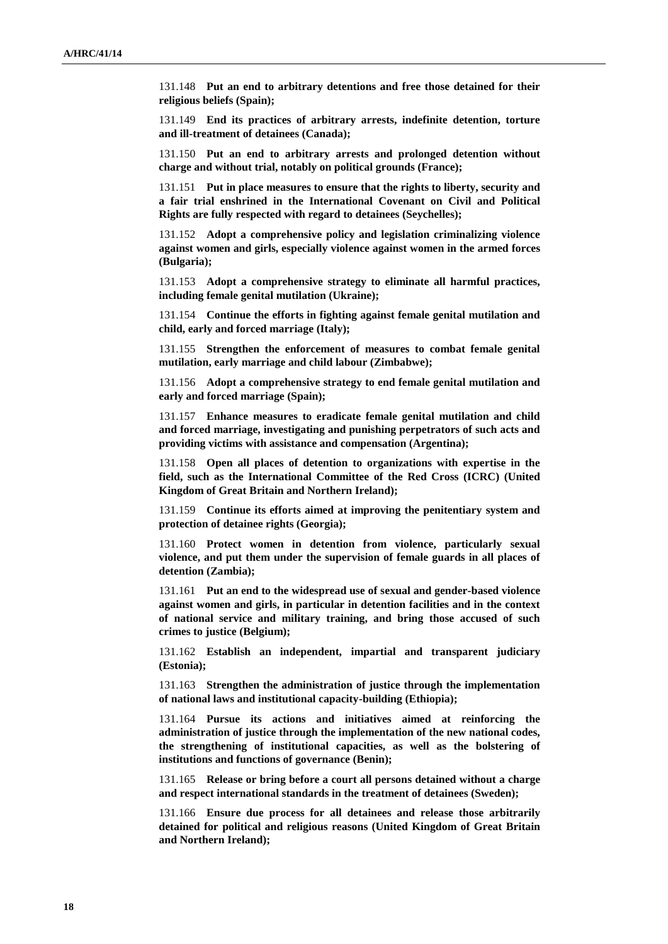131.148 **Put an end to arbitrary detentions and free those detained for their religious beliefs (Spain);**

131.149 **End its practices of arbitrary arrests, indefinite detention, torture and ill-treatment of detainees (Canada);**

131.150 **Put an end to arbitrary arrests and prolonged detention without charge and without trial, notably on political grounds (France);**

131.151 **Put in place measures to ensure that the rights to liberty, security and a fair trial enshrined in the International Covenant on Civil and Political Rights are fully respected with regard to detainees (Seychelles);**

131.152 **Adopt a comprehensive policy and legislation criminalizing violence against women and girls, especially violence against women in the armed forces (Bulgaria);**

131.153 **Adopt a comprehensive strategy to eliminate all harmful practices, including female genital mutilation (Ukraine);**

131.154 **Continue the efforts in fighting against female genital mutilation and child, early and forced marriage (Italy);**

131.155 **Strengthen the enforcement of measures to combat female genital mutilation, early marriage and child labour (Zimbabwe);**

131.156 **Adopt a comprehensive strategy to end female genital mutilation and early and forced marriage (Spain);**

131.157 **Enhance measures to eradicate female genital mutilation and child and forced marriage, investigating and punishing perpetrators of such acts and providing victims with assistance and compensation (Argentina);**

131.158 **Open all places of detention to organizations with expertise in the field, such as the International Committee of the Red Cross (ICRC) (United Kingdom of Great Britain and Northern Ireland);**

131.159 **Continue its efforts aimed at improving the penitentiary system and protection of detainee rights (Georgia);**

131.160 **Protect women in detention from violence, particularly sexual violence, and put them under the supervision of female guards in all places of detention (Zambia);**

131.161 **Put an end to the widespread use of sexual and gender-based violence against women and girls, in particular in detention facilities and in the context of national service and military training, and bring those accused of such crimes to justice (Belgium);**

131.162 **Establish an independent, impartial and transparent judiciary (Estonia);**

131.163 **Strengthen the administration of justice through the implementation of national laws and institutional capacity-building (Ethiopia);**

131.164 **Pursue its actions and initiatives aimed at reinforcing the administration of justice through the implementation of the new national codes, the strengthening of institutional capacities, as well as the bolstering of institutions and functions of governance (Benin);**

131.165 **Release or bring before a court all persons detained without a charge and respect international standards in the treatment of detainees (Sweden);**

131.166 **Ensure due process for all detainees and release those arbitrarily detained for political and religious reasons (United Kingdom of Great Britain and Northern Ireland);**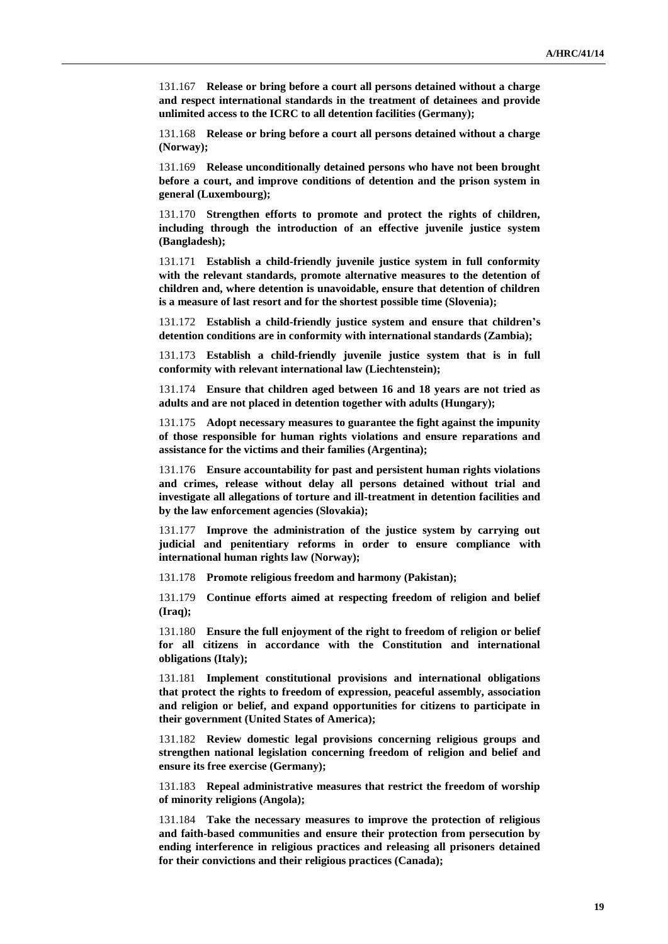131.167 **Release or bring before a court all persons detained without a charge and respect international standards in the treatment of detainees and provide unlimited access to the ICRC to all detention facilities (Germany);**

131.168 **Release or bring before a court all persons detained without a charge (Norway);**

131.169 **Release unconditionally detained persons who have not been brought before a court, and improve conditions of detention and the prison system in general (Luxembourg);**

131.170 **Strengthen efforts to promote and protect the rights of children, including through the introduction of an effective juvenile justice system (Bangladesh);**

131.171 **Establish a child-friendly juvenile justice system in full conformity with the relevant standards, promote alternative measures to the detention of children and, where detention is unavoidable, ensure that detention of children is a measure of last resort and for the shortest possible time (Slovenia);**

131.172 **Establish a child-friendly justice system and ensure that children's detention conditions are in conformity with international standards (Zambia);**

131.173 **Establish a child-friendly juvenile justice system that is in full conformity with relevant international law (Liechtenstein);**

131.174 **Ensure that children aged between 16 and 18 years are not tried as adults and are not placed in detention together with adults (Hungary);**

131.175 **Adopt necessary measures to guarantee the fight against the impunity of those responsible for human rights violations and ensure reparations and assistance for the victims and their families (Argentina);**

131.176 **Ensure accountability for past and persistent human rights violations and crimes, release without delay all persons detained without trial and investigate all allegations of torture and ill-treatment in detention facilities and by the law enforcement agencies (Slovakia);**

131.177 **Improve the administration of the justice system by carrying out judicial and penitentiary reforms in order to ensure compliance with international human rights law (Norway);**

131.178 **Promote religious freedom and harmony (Pakistan);**

131.179 **Continue efforts aimed at respecting freedom of religion and belief (Iraq);**

131.180 **Ensure the full enjoyment of the right to freedom of religion or belief for all citizens in accordance with the Constitution and international obligations (Italy);**

131.181 **Implement constitutional provisions and international obligations that protect the rights to freedom of expression, peaceful assembly, association and religion or belief, and expand opportunities for citizens to participate in their government (United States of America);**

131.182 **Review domestic legal provisions concerning religious groups and strengthen national legislation concerning freedom of religion and belief and ensure its free exercise (Germany);**

131.183 **Repeal administrative measures that restrict the freedom of worship of minority religions (Angola);**

131.184 **Take the necessary measures to improve the protection of religious and faith-based communities and ensure their protection from persecution by ending interference in religious practices and releasing all prisoners detained for their convictions and their religious practices (Canada);**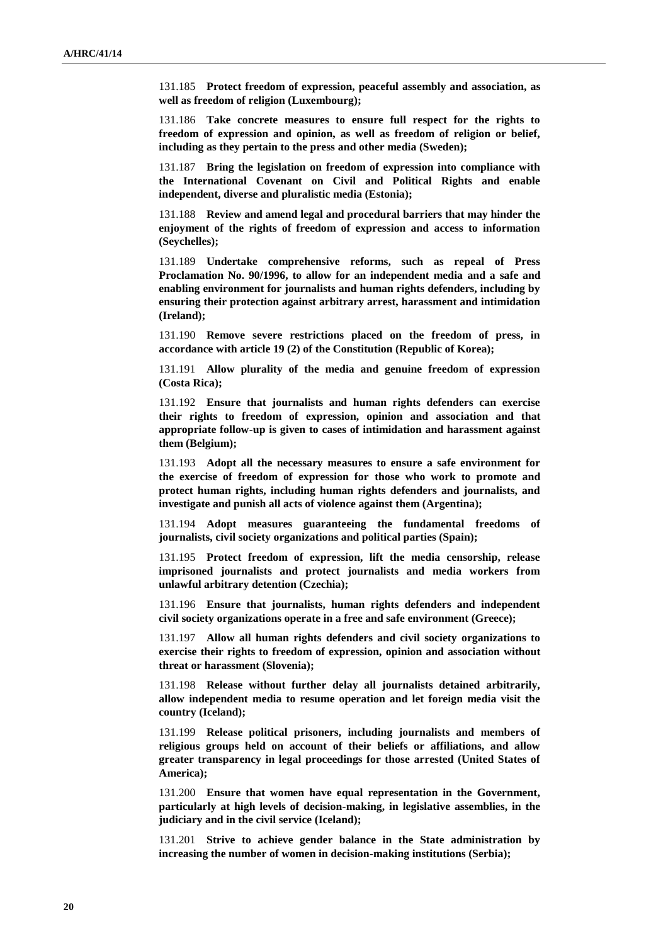131.185 **Protect freedom of expression, peaceful assembly and association, as well as freedom of religion (Luxembourg);**

131.186 **Take concrete measures to ensure full respect for the rights to freedom of expression and opinion, as well as freedom of religion or belief, including as they pertain to the press and other media (Sweden);**

131.187 **Bring the legislation on freedom of expression into compliance with the International Covenant on Civil and Political Rights and enable independent, diverse and pluralistic media (Estonia);**

131.188 **Review and amend legal and procedural barriers that may hinder the enjoyment of the rights of freedom of expression and access to information (Seychelles);**

131.189 **Undertake comprehensive reforms, such as repeal of Press Proclamation No. 90/1996, to allow for an independent media and a safe and enabling environment for journalists and human rights defenders, including by ensuring their protection against arbitrary arrest, harassment and intimidation (Ireland);**

131.190 **Remove severe restrictions placed on the freedom of press, in accordance with article 19 (2) of the Constitution (Republic of Korea);**

131.191 **Allow plurality of the media and genuine freedom of expression (Costa Rica);**

131.192 **Ensure that journalists and human rights defenders can exercise their rights to freedom of expression, opinion and association and that appropriate follow-up is given to cases of intimidation and harassment against them (Belgium);**

131.193 **Adopt all the necessary measures to ensure a safe environment for the exercise of freedom of expression for those who work to promote and protect human rights, including human rights defenders and journalists, and investigate and punish all acts of violence against them (Argentina);**

131.194 **Adopt measures guaranteeing the fundamental freedoms of journalists, civil society organizations and political parties (Spain);**

131.195 **Protect freedom of expression, lift the media censorship, release imprisoned journalists and protect journalists and media workers from unlawful arbitrary detention (Czechia);**

131.196 **Ensure that journalists, human rights defenders and independent civil society organizations operate in a free and safe environment (Greece);**

131.197 **Allow all human rights defenders and civil society organizations to exercise their rights to freedom of expression, opinion and association without threat or harassment (Slovenia);**

131.198 **Release without further delay all journalists detained arbitrarily, allow independent media to resume operation and let foreign media visit the country (Iceland);**

131.199 **Release political prisoners, including journalists and members of religious groups held on account of their beliefs or affiliations, and allow greater transparency in legal proceedings for those arrested (United States of America);**

131.200 **Ensure that women have equal representation in the Government, particularly at high levels of decision-making, in legislative assemblies, in the judiciary and in the civil service (Iceland);**

131.201 **Strive to achieve gender balance in the State administration by increasing the number of women in decision-making institutions (Serbia);**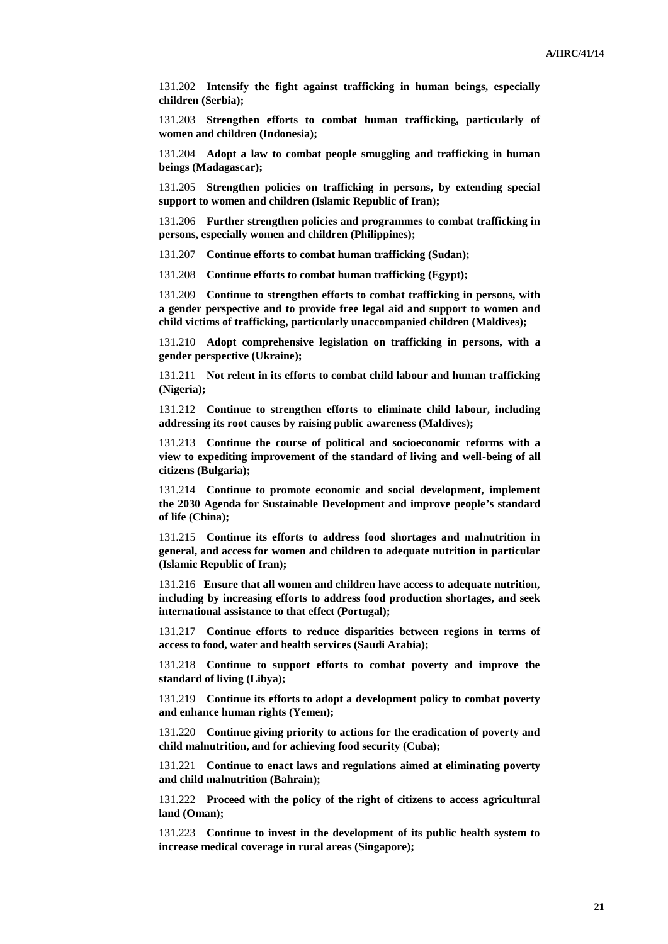131.202 **Intensify the fight against trafficking in human beings, especially children (Serbia);**

131.203 **Strengthen efforts to combat human trafficking, particularly of women and children (Indonesia);**

131.204 **Adopt a law to combat people smuggling and trafficking in human beings (Madagascar);**

131.205 **Strengthen policies on trafficking in persons, by extending special support to women and children (Islamic Republic of Iran);**

131.206 **Further strengthen policies and programmes to combat trafficking in persons, especially women and children (Philippines);**

131.207 **Continue efforts to combat human trafficking (Sudan);**

131.208 **Continue efforts to combat human trafficking (Egypt);**

131.209 **Continue to strengthen efforts to combat trafficking in persons, with a gender perspective and to provide free legal aid and support to women and child victims of trafficking, particularly unaccompanied children (Maldives);**

131.210 **Adopt comprehensive legislation on trafficking in persons, with a gender perspective (Ukraine);**

131.211 **Not relent in its efforts to combat child labour and human trafficking (Nigeria);**

131.212 **Continue to strengthen efforts to eliminate child labour, including addressing its root causes by raising public awareness (Maldives);**

131.213 **Continue the course of political and socioeconomic reforms with a view to expediting improvement of the standard of living and well-being of all citizens (Bulgaria);**

131.214 **Continue to promote economic and social development, implement the 2030 Agenda for Sustainable Development and improve people's standard of life (China);**

131.215 **Continue its efforts to address food shortages and malnutrition in general, and access for women and children to adequate nutrition in particular (Islamic Republic of Iran);**

131.216 **Ensure that all women and children have access to adequate nutrition, including by increasing efforts to address food production shortages, and seek international assistance to that effect (Portugal);**

131.217 **Continue efforts to reduce disparities between regions in terms of access to food, water and health services (Saudi Arabia);**

131.218 **Continue to support efforts to combat poverty and improve the standard of living (Libya);**

131.219 **Continue its efforts to adopt a development policy to combat poverty and enhance human rights (Yemen);**

131.220 **Continue giving priority to actions for the eradication of poverty and child malnutrition, and for achieving food security (Cuba);**

131.221 **Continue to enact laws and regulations aimed at eliminating poverty and child malnutrition (Bahrain);**

131.222 **Proceed with the policy of the right of citizens to access agricultural land (Oman);**

131.223 **Continue to invest in the development of its public health system to increase medical coverage in rural areas (Singapore);**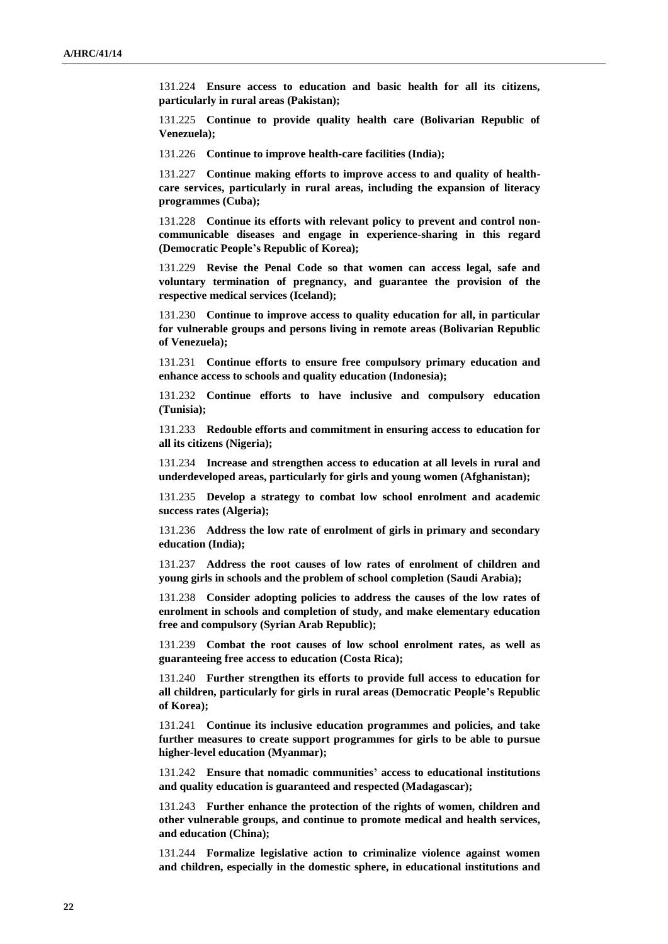131.224 **Ensure access to education and basic health for all its citizens, particularly in rural areas (Pakistan);**

131.225 **Continue to provide quality health care (Bolivarian Republic of Venezuela);**

131.226 **Continue to improve health-care facilities (India);**

131.227 **Continue making efforts to improve access to and quality of healthcare services, particularly in rural areas, including the expansion of literacy programmes (Cuba);**

131.228 **Continue its efforts with relevant policy to prevent and control noncommunicable diseases and engage in experience-sharing in this regard (Democratic People's Republic of Korea);**

131.229 **Revise the Penal Code so that women can access legal, safe and voluntary termination of pregnancy, and guarantee the provision of the respective medical services (Iceland);**

131.230 **Continue to improve access to quality education for all, in particular for vulnerable groups and persons living in remote areas (Bolivarian Republic of Venezuela);**

131.231 **Continue efforts to ensure free compulsory primary education and enhance access to schools and quality education (Indonesia);**

131.232 **Continue efforts to have inclusive and compulsory education (Tunisia);**

131.233 **Redouble efforts and commitment in ensuring access to education for all its citizens (Nigeria);**

131.234 **Increase and strengthen access to education at all levels in rural and underdeveloped areas, particularly for girls and young women (Afghanistan);**

131.235 **Develop a strategy to combat low school enrolment and academic success rates (Algeria);**

131.236 **Address the low rate of enrolment of girls in primary and secondary education (India);**

131.237 **Address the root causes of low rates of enrolment of children and young girls in schools and the problem of school completion (Saudi Arabia);**

131.238 **Consider adopting policies to address the causes of the low rates of enrolment in schools and completion of study, and make elementary education free and compulsory (Syrian Arab Republic);**

131.239 **Combat the root causes of low school enrolment rates, as well as guaranteeing free access to education (Costa Rica);**

131.240 **Further strengthen its efforts to provide full access to education for all children, particularly for girls in rural areas (Democratic People's Republic of Korea);**

131.241 **Continue its inclusive education programmes and policies, and take further measures to create support programmes for girls to be able to pursue higher-level education (Myanmar);**

131.242 **Ensure that nomadic communities' access to educational institutions and quality education is guaranteed and respected (Madagascar);**

131.243 **Further enhance the protection of the rights of women, children and other vulnerable groups, and continue to promote medical and health services, and education (China);**

131.244 **Formalize legislative action to criminalize violence against women and children, especially in the domestic sphere, in educational institutions and**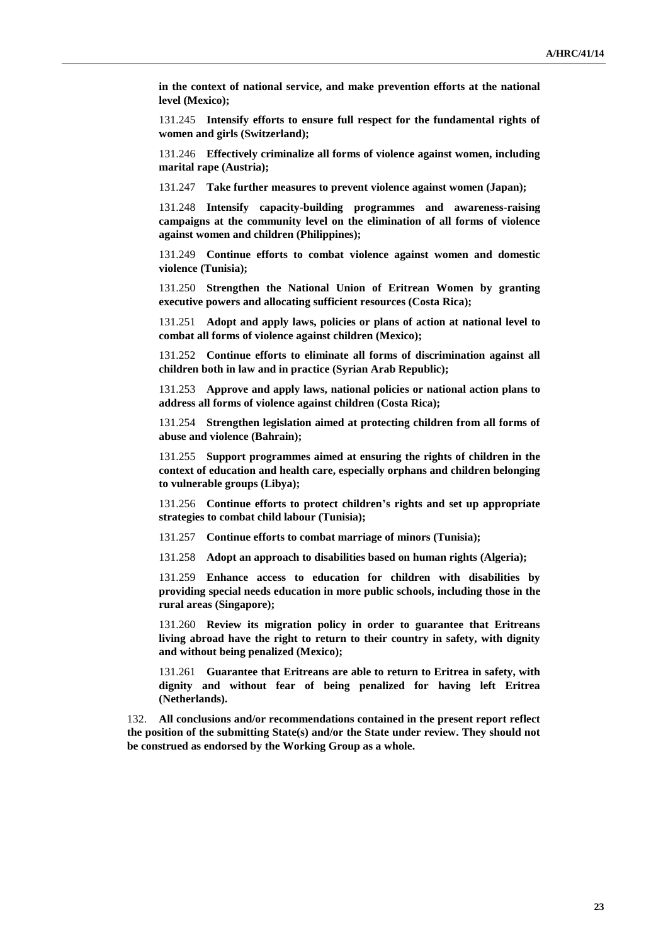**in the context of national service, and make prevention efforts at the national level (Mexico);**

131.245 **Intensify efforts to ensure full respect for the fundamental rights of women and girls (Switzerland);**

131.246 **Effectively criminalize all forms of violence against women, including marital rape (Austria);**

131.247 **Take further measures to prevent violence against women (Japan);**

131.248 **Intensify capacity-building programmes and awareness-raising campaigns at the community level on the elimination of all forms of violence against women and children (Philippines);**

131.249 **Continue efforts to combat violence against women and domestic violence (Tunisia);**

131.250 **Strengthen the National Union of Eritrean Women by granting executive powers and allocating sufficient resources (Costa Rica);**

131.251 **Adopt and apply laws, policies or plans of action at national level to combat all forms of violence against children (Mexico);**

131.252 **Continue efforts to eliminate all forms of discrimination against all children both in law and in practice (Syrian Arab Republic);**

131.253 **Approve and apply laws, national policies or national action plans to address all forms of violence against children (Costa Rica);**

131.254 **Strengthen legislation aimed at protecting children from all forms of abuse and violence (Bahrain);**

131.255 **Support programmes aimed at ensuring the rights of children in the context of education and health care, especially orphans and children belonging to vulnerable groups (Libya);**

131.256 **Continue efforts to protect children's rights and set up appropriate strategies to combat child labour (Tunisia);**

131.257 **Continue efforts to combat marriage of minors (Tunisia);**

131.258 **Adopt an approach to disabilities based on human rights (Algeria);**

131.259 **Enhance access to education for children with disabilities by providing special needs education in more public schools, including those in the rural areas (Singapore);**

131.260 **Review its migration policy in order to guarantee that Eritreans living abroad have the right to return to their country in safety, with dignity and without being penalized (Mexico);**

131.261 **Guarantee that Eritreans are able to return to Eritrea in safety, with dignity and without fear of being penalized for having left Eritrea (Netherlands).**

132. **All conclusions and/or recommendations contained in the present report reflect the position of the submitting State(s) and/or the State under review. They should not be construed as endorsed by the Working Group as a whole.**